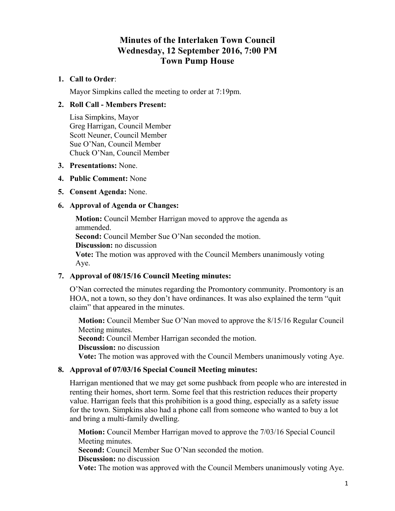# **Minutes of the Interlaken Town Council Wednesday, 12 September 2016, 7:00 PM Town Pump House**

# **1. Call to Order**:

Mayor Simpkins called the meeting to order at 7:19pm.

# **2. Roll Call - Members Present:**

Lisa Simpkins, Mayor Greg Harrigan, Council Member Scott Neuner, Council Member Sue O'Nan, Council Member Chuck O'Nan, Council Member

## **3. Presentations:** None.

## **4. Public Comment:** None

**5. Consent Agenda:** None.

# **6. Approval of Agenda or Changes:**

**Motion:** Council Member Harrigan moved to approve the agenda as ammended.

**Second:** Council Member Sue O'Nan seconded the motion.

**Discussion:** no discussion

**Vote:** The motion was approved with the Council Members unanimously voting Aye.

# **7. Approval of 08/15/16 Council Meeting minutes:**

O'Nan corrected the minutes regarding the Promontory community. Promontory is an HOA, not a town, so they don't have ordinances. It was also explained the term "quit claim" that appeared in the minutes.

**Motion:** Council Member Sue O'Nan moved to approve the 8/15/16 Regular Council Meeting minutes.

**Second:** Council Member Harrigan seconded the motion.

**Discussion:** no discussion

**Vote:** The motion was approved with the Council Members unanimously voting Aye.

# **8. Approval of 07/03/16 Special Council Meeting minutes:**

Harrigan mentioned that we may get some pushback from people who are interested in renting their homes, short term. Some feel that this restriction reduces their property value. Harrigan feels that this prohibition is a good thing, especially as a safety issue for the town. Simpkins also had a phone call from someone who wanted to buy a lot and bring a multi-family dwelling.

**Motion:** Council Member Harrigan moved to approve the 7/03/16 Special Council Meeting minutes.

**Second:** Council Member Sue O'Nan seconded the motion.

**Discussion:** no discussion

**Vote:** The motion was approved with the Council Members unanimously voting Aye.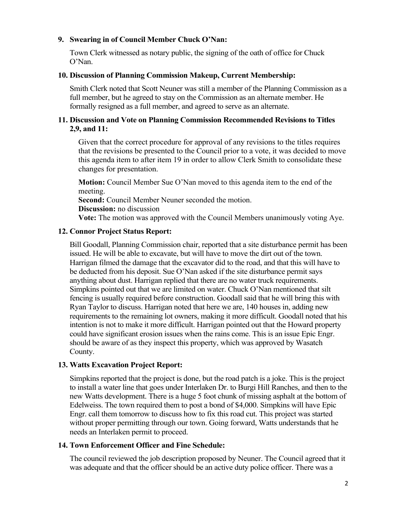# **9. Swearing in of Council Member Chuck O'Nan:**

Town Clerk witnessed as notary public, the signing of the oath of office for Chuck O'Nan.

#### **10. Discussion of Planning Commission Makeup, Current Membership:**

Smith Clerk noted that Scott Neuner was still a member of the Planning Commission as a full member, but he agreed to stay on the Commission as an alternate member. He formally resigned as a full member, and agreed to serve as an alternate.

#### **11. Discussion and Vote on Planning Commission Recommended Revisions to Titles 2,9, and 11:**

Given that the correct procedure for approval of any revisions to the titles requires that the revisions be presented to the Council prior to a vote, it was decided to move this agenda item to after item 19 in order to allow Clerk Smith to consolidate these changes for presentation.

**Motion:** Council Member Sue O'Nan moved to this agenda item to the end of the meeting.

**Second:** Council Member Neuner seconded the motion.

#### **Discussion:** no discussion

**Vote:** The motion was approved with the Council Members unanimously voting Aye.

#### **12. Connor Project Status Report:**

Bill Goodall, Planning Commission chair, reported that a site disturbance permit has been issued. He will be able to excavate, but will have to move the dirt out of the town. Harrigan filmed the damage that the excavator did to the road, and that this will have to be deducted from his deposit. Sue O'Nan asked if the site disturbance permit says anything about dust. Harrigan replied that there are no water truck requirements. Simpkins pointed out that we are limited on water. Chuck O'Nan mentioned that silt fencing is usually required before construction. Goodall said that he will bring this with Ryan Taylor to discuss. Harrigan noted that here we are, 140 houses in, adding new requirements to the remaining lot owners, making it more difficult. Goodall noted that his intention is not to make it more difficult. Harrigan pointed out that the Howard property could have significant erosion issues when the rains come. This is an issue Epic Engr. should be aware of as they inspect this property, which was approved by Wasatch County.

#### **13. Watts Excavation Project Report:**

Simpkins reported that the project is done, but the road patch is a joke. This is the project to install a water line that goes under Interlaken Dr. to Burgi Hill Ranches, and then to the new Watts development. There is a huge 5 foot chunk of missing asphalt at the bottom of Edelweiss. The town required them to post a bond of \$4,000. Simpkins will have Epic Engr. call them tomorrow to discuss how to fix this road cut. This project was started without proper permitting through our town. Going forward, Watts understands that he needs an Interlaken permit to proceed.

#### **14. Town Enforcement Officer and Fine Schedule:**

The council reviewed the job description proposed by Neuner. The Council agreed that it was adequate and that the officer should be an active duty police officer. There was a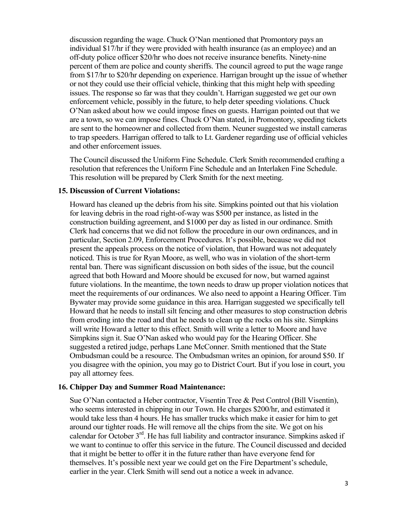discussion regarding the wage. Chuck O'Nan mentioned that Promontory pays an individual \$17/hr if they were provided with health insurance (as an employee) and an off-duty police officer \$20/hr who does not receive insurance benefits. Ninety-nine percent of them are police and county sheriffs. The council agreed to put the wage range from \$17/hr to \$20/hr depending on experience. Harrigan brought up the issue of whether or not they could use their official vehicle, thinking that this might help with speeding issues. The response so far was that they couldn't. Harrigan suggested we get our own enforcement vehicle, possibly in the future, to help deter speeding violations. Chuck O'Nan asked about how we could impose fines on guests. Harrigan pointed out that we are a town, so we can impose fines. Chuck O'Nan stated, in Promontory, speeding tickets are sent to the homeowner and collected from them. Neuner suggested we install cameras to trap speeders. Harrigan offered to talk to Lt. Gardener regarding use of official vehicles and other enforcement issues.

The Council discussed the Uniform Fine Schedule. Clerk Smith recommended crafting a resolution that references the Uniform Fine Schedule and an Interlaken Fine Schedule. This resolution will be prepared by Clerk Smith for the next meeting.

#### **15. Discussion of Current Violations:**

Howard has cleaned up the debris from his site. Simpkins pointed out that his violation for leaving debris in the road right-of-way was \$500 per instance, as listed in the construction building agreement, and \$1000 per day as listed in our ordinance. Smith Clerk had concerns that we did not follow the procedure in our own ordinances, and in particular, Section 2.09, Enforcement Procedures. It's possible, because we did not present the appeals process on the notice of violation, that Howard was not adequately noticed. This is true for Ryan Moore, as well, who was in violation of the short-term rental ban. There was significant discussion on both sides of the issue, but the council agreed that both Howard and Moore should be excused for now, but warned against future violations. In the meantime, the town needs to draw up proper violation notices that meet the requirements of our ordinances. We also need to appoint a Hearing Officer. Tim Bywater may provide some guidance in this area. Harrigan suggested we specifically tell Howard that he needs to install silt fencing and other measures to stop construction debris from eroding into the road and that he needs to clean up the rocks on his site. Simpkins will write Howard a letter to this effect. Smith will write a letter to Moore and have Simpkins sign it. Sue O'Nan asked who would pay for the Hearing Officer. She suggested a retired judge, perhaps Lane McConner. Smith mentioned that the State Ombudsman could be a resource. The Ombudsman writes an opinion, for around \$50. If you disagree with the opinion, you may go to District Court. But if you lose in court, you pay all attorney fees.

#### **16. Chipper Day and Summer Road Maintenance:**

Sue O'Nan contacted a Heber contractor, Visentin Tree & Pest Control (Bill Visentin), who seems interested in chipping in our Town. He charges \$200/hr, and estimated it would take less than 4 hours. He has smaller trucks which make it easier for him to get around our tighter roads. He will remove all the chips from the site. We got on his calendar for October  $3<sup>rd</sup>$ . He has full liability and contractor insurance. Simpkins asked if we want to continue to offer this service in the future. The Council discussed and decided that it might be better to offer it in the future rather than have everyone fend for themselves. It's possible next year we could get on the Fire Department's schedule, earlier in the year. Clerk Smith will send out a notice a week in advance.